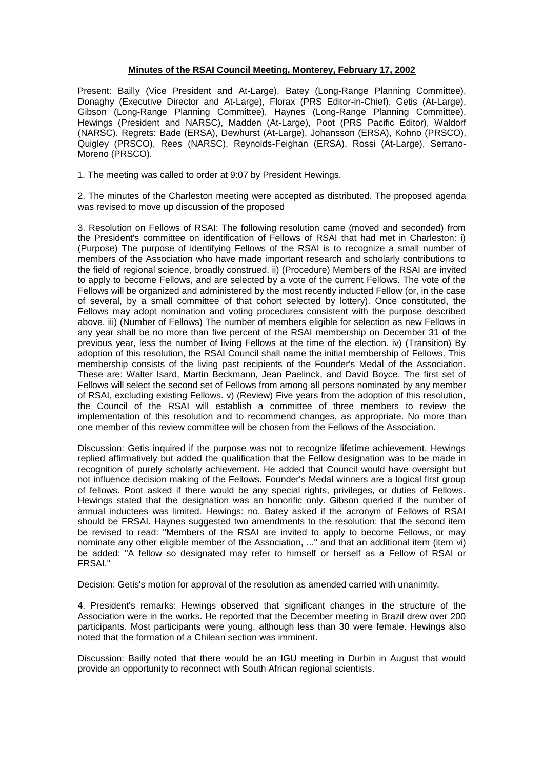## **Minutes of the RSAI Council Meeting, Monterey, February 17, 2002**

Present: Bailly (Vice President and At-Large), Batey (Long-Range Planning Committee), Donaghy (Executive Director and At-Large), Florax (PRS Editor-in-Chief), Getis (At-Large), Gibson (Long-Range Planning Committee), Haynes (Long-Range Planning Committee), Hewings (President and NARSC), Madden (At-Large), Poot (PRS Pacific Editor), Waldorf (NARSC). Regrets: Bade (ERSA), Dewhurst (At-Large), Johansson (ERSA), Kohno (PRSCO), Quigley (PRSCO), Rees (NARSC), Reynolds-Feighan (ERSA), Rossi (At-Large), Serrano-Moreno (PRSCO).

1. The meeting was called to order at 9:07 by President Hewings.

2. The minutes of the Charleston meeting were accepted as distributed. The proposed agenda was revised to move up discussion of the proposed

3. Resolution on Fellows of RSAI: The following resolution came (moved and seconded) from the President's committee on identification of Fellows of RSAI that had met in Charleston: i) (Purpose) The purpose of identifying Fellows of the RSAI is to recognize a small number of members of the Association who have made important research and scholarly contributions to the field of regional science, broadly construed. ii) (Procedure) Members of the RSAI are invited to apply to become Fellows, and are selected by a vote of the current Fellows. The vote of the Fellows will be organized and administered by the most recently inducted Fellow (or, in the case of several, by a small committee of that cohort selected by lottery). Once constituted, the Fellows may adopt nomination and voting procedures consistent with the purpose described above. iii) (Number of Fellows) The number of members eligible for selection as new Fellows in any year shall be no more than five percent of the RSAI membership on December 31 of the previous year, less the number of living Fellows at the time of the election. iv) (Transition) By adoption of this resolution, the RSAI Council shall name the initial membership of Fellows. This membership consists of the living past recipients of the Founder's Medal of the Association. These are: Walter Isard, Martin Beckmann, Jean Paelinck, and David Boyce. The first set of Fellows will select the second set of Fellows from among all persons nominated by any member of RSAI, excluding existing Fellows. v) (Review) Five years from the adoption of this resolution, the Council of the RSAI will establish a committee of three members to review the implementation of this resolution and to recommend changes, as appropriate. No more than one member of this review committee will be chosen from the Fellows of the Association.

Discussion: Getis inquired if the purpose was not to recognize lifetime achievement. Hewings replied affirmatively but added the qualification that the Fellow designation was to be made in recognition of purely scholarly achievement. He added that Council would have oversight but not influence decision making of the Fellows. Founder's Medal winners are a logical first group of fellows. Poot asked if there would be any special rights, privileges, or duties of Fellows. Hewings stated that the designation was an honorific only. Gibson queried if the number of annual inductees was limited. Hewings: no. Batey asked if the acronym of Fellows of RSAI should be FRSAI. Haynes suggested two amendments to the resolution: that the second item be revised to read: "Members of the RSAI are invited to apply to become Fellows, or may nominate any other eligible member of the Association, ..." and that an additional item (item vi) be added: "A fellow so designated may refer to himself or herself as a Fellow of RSAI or FRSAI."

Decision: Getis's motion for approval of the resolution as amended carried with unanimity.

4. President's remarks: Hewings observed that significant changes in the structure of the Association were in the works. He reported that the December meeting in Brazil drew over 200 participants. Most participants were young, although less than 30 were female. Hewings also noted that the formation of a Chilean section was imminent.

Discussion: Bailly noted that there would be an IGU meeting in Durbin in August that would provide an opportunity to reconnect with South African regional scientists.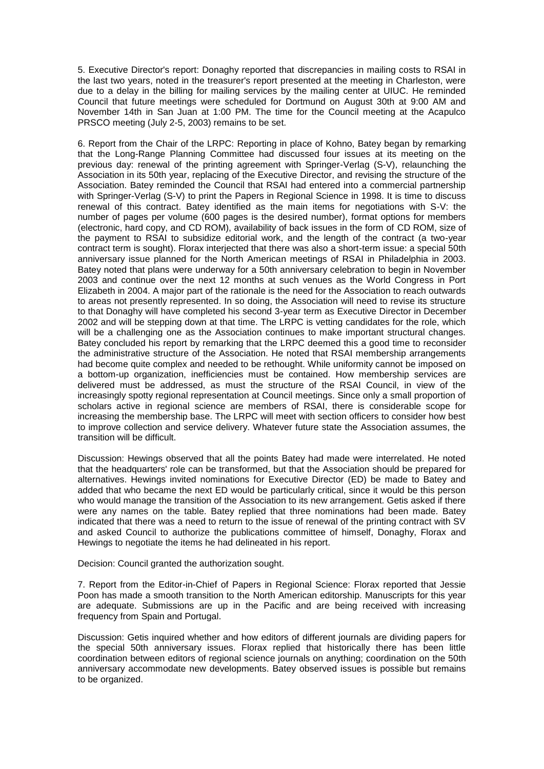5. Executive Director's report: Donaghy reported that discrepancies in mailing costs to RSAI in the last two years, noted in the treasurer's report presented at the meeting in Charleston, were due to a delay in the billing for mailing services by the mailing center at UIUC. He reminded Council that future meetings were scheduled for Dortmund on August 30th at 9:00 AM and November 14th in San Juan at 1:00 PM. The time for the Council meeting at the Acapulco PRSCO meeting (July 2-5, 2003) remains to be set.

6. Report from the Chair of the LRPC: Reporting in place of Kohno, Batey began by remarking that the Long-Range Planning Committee had discussed four issues at its meeting on the previous day: renewal of the printing agreement with Springer-Verlag (S-V), relaunching the Association in its 50th year, replacing of the Executive Director, and revising the structure of the Association. Batey reminded the Council that RSAI had entered into a commercial partnership with Springer-Verlag (S-V) to print the Papers in Regional Science in 1998. It is time to discuss renewal of this contract. Batey identified as the main items for negotiations with S-V: the number of pages per volume (600 pages is the desired number), format options for members (electronic, hard copy, and CD ROM), availability of back issues in the form of CD ROM, size of the payment to RSAI to subsidize editorial work, and the length of the contract (a two-year contract term is sought). Florax interjected that there was also a short-term issue: a special 50th anniversary issue planned for the North American meetings of RSAI in Philadelphia in 2003. Batey noted that plans were underway for a 50th anniversary celebration to begin in November 2003 and continue over the next 12 months at such venues as the World Congress in Port Elizabeth in 2004. A major part of the rationale is the need for the Association to reach outwards to areas not presently represented. In so doing, the Association will need to revise its structure to that Donaghy will have completed his second 3-year term as Executive Director in December 2002 and will be stepping down at that time. The LRPC is vetting candidates for the role, which will be a challenging one as the Association continues to make important structural changes. Batey concluded his report by remarking that the LRPC deemed this a good time to reconsider the administrative structure of the Association. He noted that RSAI membership arrangements had become quite complex and needed to be rethought. While uniformity cannot be imposed on a bottom-up organization, inefficiencies must be contained. How membership services are delivered must be addressed, as must the structure of the RSAI Council, in view of the increasingly spotty regional representation at Council meetings. Since only a small proportion of scholars active in regional science are members of RSAI, there is considerable scope for increasing the membership base. The LRPC will meet with section officers to consider how best to improve collection and service delivery. Whatever future state the Association assumes, the transition will be difficult.

Discussion: Hewings observed that all the points Batey had made were interrelated. He noted that the headquarters' role can be transformed, but that the Association should be prepared for alternatives. Hewings invited nominations for Executive Director (ED) be made to Batey and added that who became the next ED would be particularly critical, since it would be this person who would manage the transition of the Association to its new arrangement. Getis asked if there were any names on the table. Batey replied that three nominations had been made. Batey indicated that there was a need to return to the issue of renewal of the printing contract with SV and asked Council to authorize the publications committee of himself, Donaghy, Florax and Hewings to negotiate the items he had delineated in his report.

Decision: Council granted the authorization sought.

7. Report from the Editor-in-Chief of Papers in Regional Science: Florax reported that Jessie Poon has made a smooth transition to the North American editorship. Manuscripts for this year are adequate. Submissions are up in the Pacific and are being received with increasing frequency from Spain and Portugal.

Discussion: Getis inquired whether and how editors of different journals are dividing papers for the special 50th anniversary issues. Florax replied that historically there has been little coordination between editors of regional science journals on anything; coordination on the 50th anniversary accommodate new developments. Batey observed issues is possible but remains to be organized.